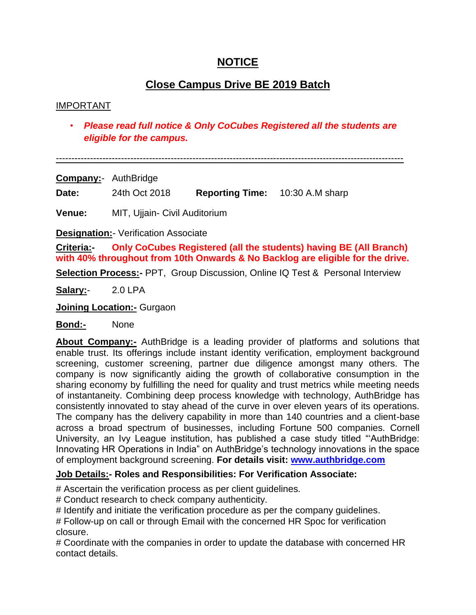## **NOTICE**

# **Close Campus Drive BE 2019 Batch**

## IMPORTANT

• *Please read full notice & Only CoCubes Registered all the students are eligible for the campus.*

----------------------------------------------------------------------------------------------------------------

**Company:**- AuthBridge

**Date:** 24th Oct 2018 **Reporting Time:** 10:30 A.M sharp

**Venue:** MIT, Ujjain- Civil Auditorium

**Designation:**- Verification Associate

**Criteria:- Only CoCubes Registered (all the students) having BE (All Branch) with 40% throughout from 10th Onwards & No Backlog are eligible for the drive.**

**Selection Process:-** PPT, Group Discussion, Online IQ Test & Personal Interview

**Salary:**- 2.0 LPA

**Joining Location:-** Gurgaon

**Bond:-** None

**About Company:-** AuthBridge is a leading provider of platforms and solutions that enable trust. Its offerings include instant identity verification, employment background screening, customer screening, partner due diligence amongst many others. The company is now significantly aiding the growth of collaborative consumption in the sharing economy by fulfilling the need for quality and trust metrics while meeting needs of instantaneity. Combining deep process knowledge with technology, AuthBridge has consistently innovated to stay ahead of the curve in over eleven years of its operations. The company has the delivery capability in more than 140 countries and a client-base across a broad spectrum of businesses, including Fortune 500 companies. Cornell University, an Ivy League institution, has published a case study titled ""AuthBridge: Innovating HR Operations in India" on AuthBridge"s technology innovations in the space of employment background screening. **For details visit: [www.authbridge.com](http://www.authbridge.com/)**

## **Job Details:- Roles and Responsibilities: For Verification Associate:**

# Ascertain the verification process as per client guidelines.

# Conduct research to check company authenticity.

# Identify and initiate the verification procedure as per the company quidelines.

# Follow-up on call or through Email with the concerned HR Spoc for verification closure.

# Coordinate with the companies in order to update the database with concerned HR contact details.